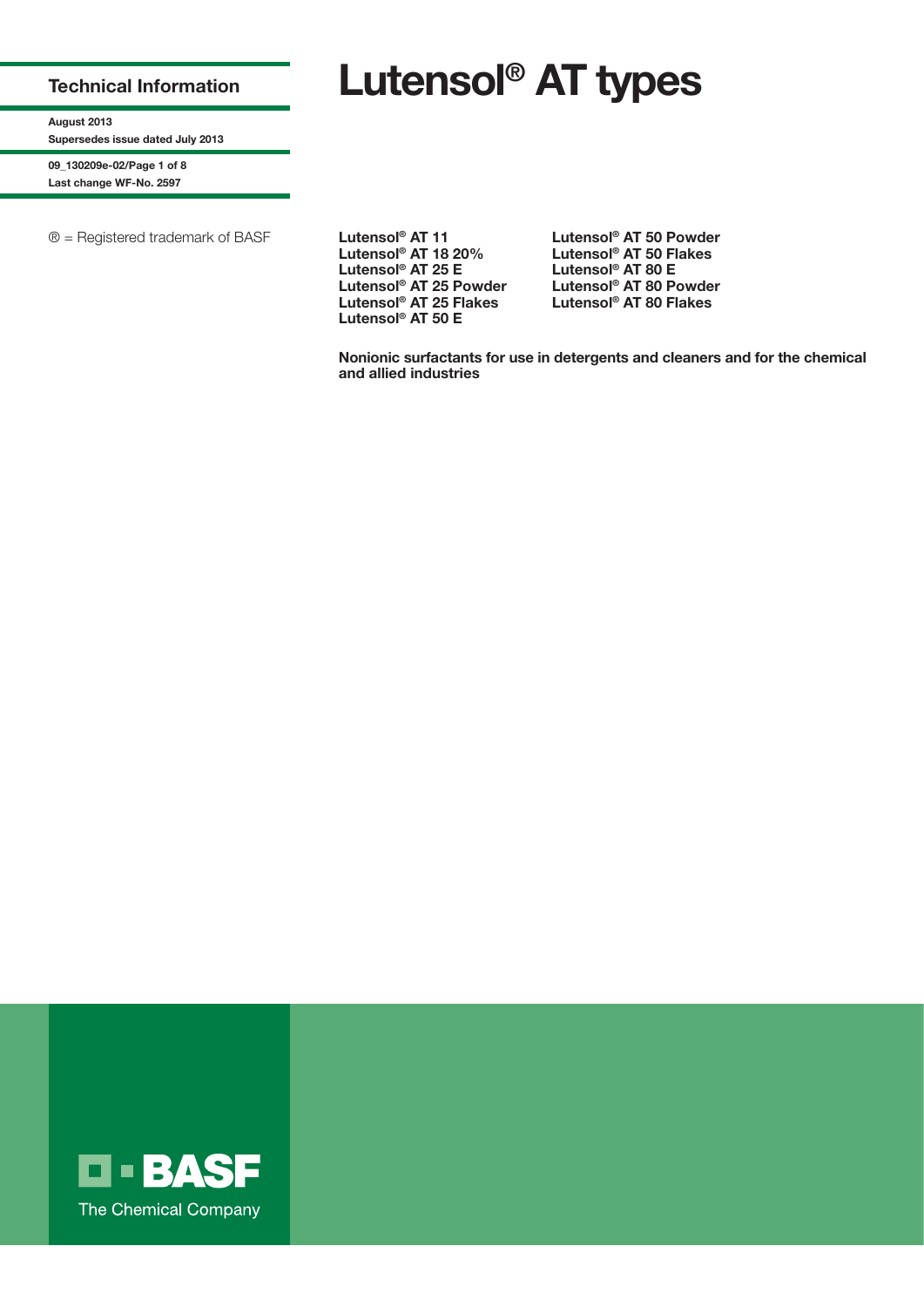# **Technical Information**

**Lutensol® AT types**

**August 2013 Supersedes issue dated July 2013**

**09\_130209e-02/Page 1 of 8 Last change WF-No. 2597**

® = Registered trademark of BASF **Lutensol® AT 11**

**Lutensol® AT 18 20% Lutensol® AT 25 E Lutensol® AT 25 Powder Lutensol® AT 25 Flakes Lutensol® AT 50 E**

**Lutensol® AT 50 Powder Lutensol® AT 50 Flakes Lutensol® AT 80 E Lutensol® AT 80 Powder Lutensol® AT 80 Flakes**

**Nonionic surfactants for use in detergents and cleaners and for the chemical and allied industries**

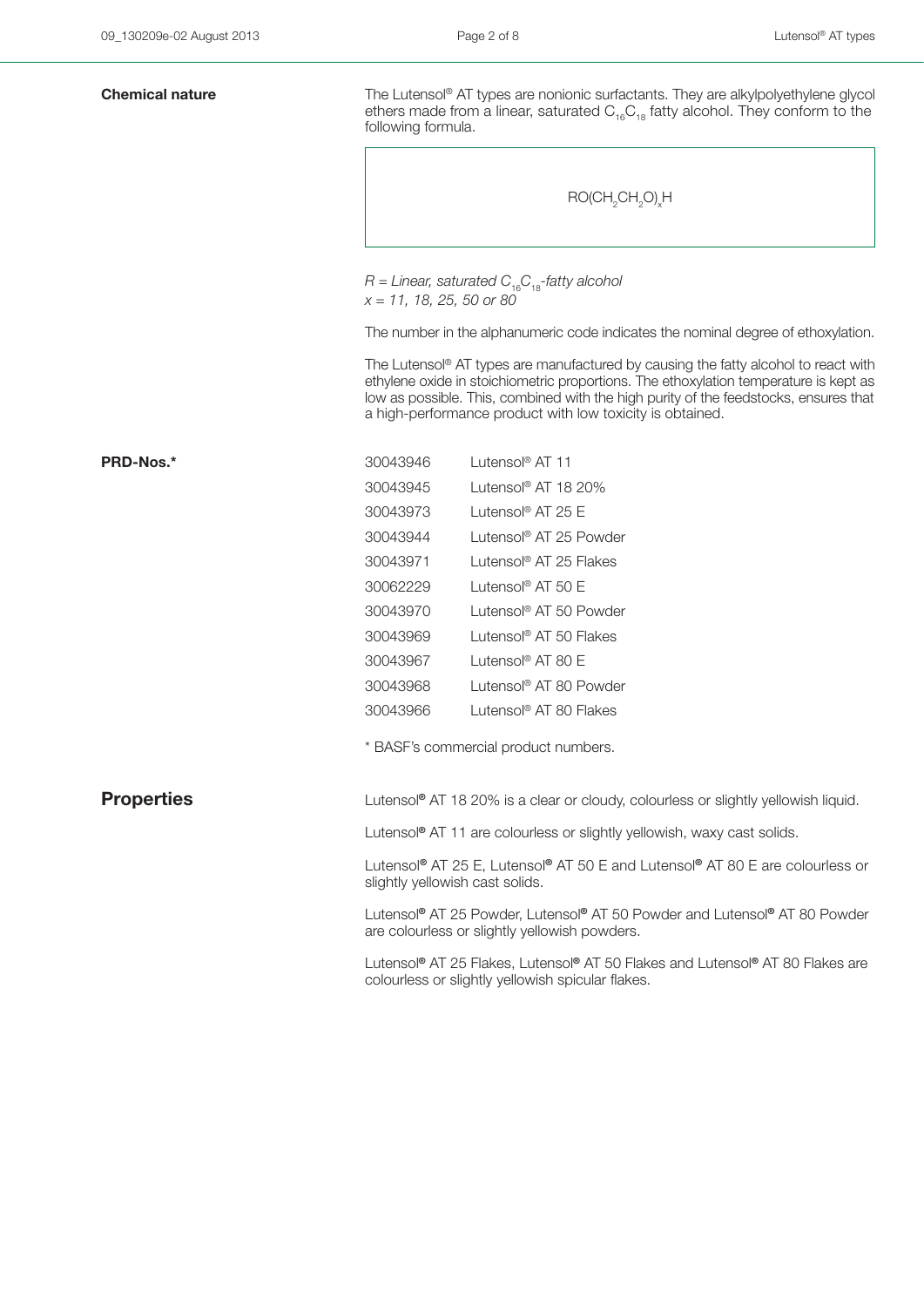| <b>Chemical nature</b> | The Lutensol® AT types are nonionic surfactants. They are alkylpolyethylene glycol<br>ethers made from a linear, saturated $C_{16}C_{18}$ fatty alcohol. They conform to the<br>following formula.                                                                                                                               |                                                                                     |  |  |  |  |
|------------------------|----------------------------------------------------------------------------------------------------------------------------------------------------------------------------------------------------------------------------------------------------------------------------------------------------------------------------------|-------------------------------------------------------------------------------------|--|--|--|--|
|                        | RO(CH <sub>2</sub> CH <sub>2</sub> O) <sub>x</sub> H                                                                                                                                                                                                                                                                             |                                                                                     |  |  |  |  |
|                        | $R =$ Linear, saturated $C_{16}C_{18}$ -fatty alcohol<br>$x = 11, 18, 25, 50$ or 80                                                                                                                                                                                                                                              |                                                                                     |  |  |  |  |
|                        | The number in the alphanumeric code indicates the nominal degree of ethoxylation.                                                                                                                                                                                                                                                |                                                                                     |  |  |  |  |
|                        | The Lutensol® AT types are manufactured by causing the fatty alcohol to react with<br>ethylene oxide in stoichiometric proportions. The ethoxylation temperature is kept as<br>low as possible. This, combined with the high purity of the feedstocks, ensures that<br>a high-performance product with low toxicity is obtained. |                                                                                     |  |  |  |  |
| PRD-Nos.*              | 30043946                                                                                                                                                                                                                                                                                                                         | Lutensol <sup>®</sup> AT 11                                                         |  |  |  |  |
|                        | 30043945                                                                                                                                                                                                                                                                                                                         | Lutensol <sup>®</sup> AT 18 20%                                                     |  |  |  |  |
|                        | 30043973                                                                                                                                                                                                                                                                                                                         | Lutensol <sup>®</sup> AT 25 E                                                       |  |  |  |  |
|                        | 30043944                                                                                                                                                                                                                                                                                                                         | Lutensol® AT 25 Powder                                                              |  |  |  |  |
|                        | 30043971                                                                                                                                                                                                                                                                                                                         | Lutensol <sup>®</sup> AT 25 Flakes                                                  |  |  |  |  |
|                        | 30062229                                                                                                                                                                                                                                                                                                                         | Lutensol <sup>®</sup> AT 50 E                                                       |  |  |  |  |
|                        | 30043970                                                                                                                                                                                                                                                                                                                         | Lutensol® AT 50 Powder                                                              |  |  |  |  |
|                        | 30043969                                                                                                                                                                                                                                                                                                                         | Lutensol <sup>®</sup> AT 50 Flakes                                                  |  |  |  |  |
|                        | 30043967                                                                                                                                                                                                                                                                                                                         | Lutensol <sup>®</sup> AT 80 E                                                       |  |  |  |  |
|                        | 30043968                                                                                                                                                                                                                                                                                                                         | Lutensol® AT 80 Powder                                                              |  |  |  |  |
|                        | 30043966                                                                                                                                                                                                                                                                                                                         | Lutensol <sup>®</sup> AT 80 Flakes                                                  |  |  |  |  |
|                        | * BASF's commercial product numbers.                                                                                                                                                                                                                                                                                             |                                                                                     |  |  |  |  |
| <b>Properties</b>      | Lutensol <sup>®</sup> AT 18 20% is a clear or cloudy, colourless or slightly yellowish liquid.                                                                                                                                                                                                                                   |                                                                                     |  |  |  |  |
|                        |                                                                                                                                                                                                                                                                                                                                  | Lutensol <sup>®</sup> AT 11 are colourless or slightly yellowish, waxy cast solids. |  |  |  |  |
|                        | Lutensol® AT 25 E, Lutensol® AT 50 E and Lutensol® AT 80 E are colourless or<br>slightly yellowish cast solids.                                                                                                                                                                                                                  |                                                                                     |  |  |  |  |
|                        | Lutensol® AT 25 Powder, Lutensol® AT 50 Powder and Lutensol® AT 80 Powder<br>are colourless or slightly yellowish powders.                                                                                                                                                                                                       |                                                                                     |  |  |  |  |
|                        | Lutensol® AT 25 Flakes, Lutensol® AT 50 Flakes and Lutensol® AT 80 Flakes are<br>colourless or slightly yellowish spicular flakes.                                                                                                                                                                                               |                                                                                     |  |  |  |  |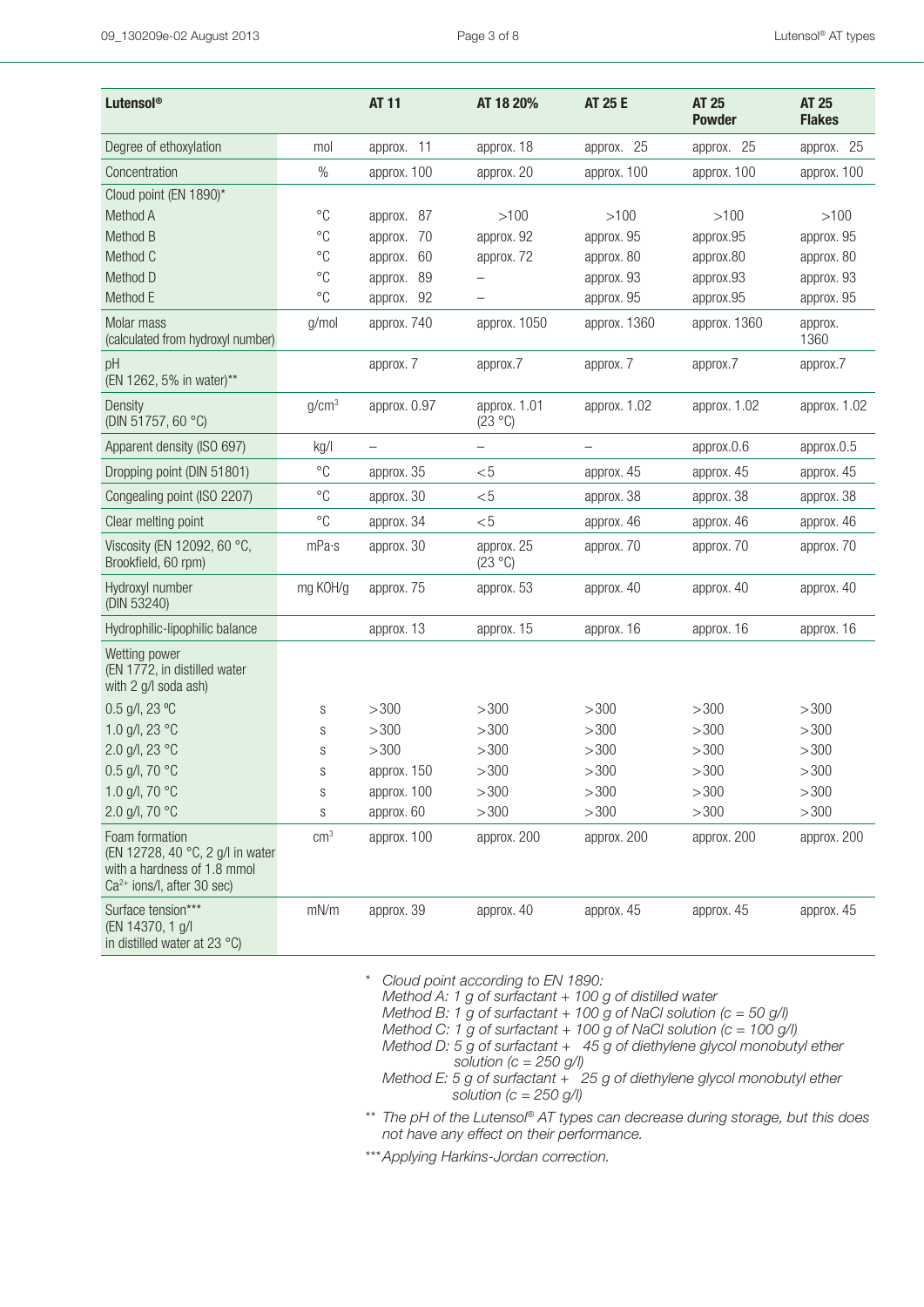| Lutensol <sup>®</sup>                                                                                             |                   | <b>AT 11</b>             | AT 18 20%               | <b>AT 25 E</b> | <b>AT 25</b><br><b>Powder</b> | <b>AT 25</b><br><b>Flakes</b> |
|-------------------------------------------------------------------------------------------------------------------|-------------------|--------------------------|-------------------------|----------------|-------------------------------|-------------------------------|
| Degree of ethoxylation                                                                                            | mol               | approx. 11               | approx. 18              | approx. 25     | approx. 25                    | approx. 25                    |
| Concentration                                                                                                     | $\%$              | approx. 100              | approx. 20              | approx. 100    | approx. 100                   | approx. 100                   |
| Cloud point (EN 1890)*                                                                                            |                   |                          |                         |                |                               |                               |
| Method A                                                                                                          | $^{\circ}C$       | approx. 87               | >100                    | >100           | >100                          | >100                          |
| Method B                                                                                                          | $^{\circ}C$       | 70<br>approx.            | approx. 92              | approx. 95     | approx.95                     | approx. 95                    |
| Method C                                                                                                          | $^{\circ}C$       | 60<br>approx.            | approx. 72              | approx. 80     | approx.80                     | approx. 80                    |
| Method D                                                                                                          | $^{\circ}C$       | 89<br>approx.            |                         | approx. 93     | approx.93                     | approx. 93                    |
| Method E                                                                                                          | $^{\circ}C$       | 92<br>approx.            |                         | approx. 95     | approx.95                     | approx. 95                    |
| Molar mass<br>(calculated from hydroxyl number)                                                                   | g/mol             | approx. 740              | approx. 1050            | approx. 1360   | approx. 1360                  | approx.<br>1360               |
| pH<br>(EN 1262, 5% in water)**                                                                                    |                   | approx. 7                | approx.7                | approx. 7      | approx.7                      | approx.7                      |
| Density<br>(DIN 51757, 60 °C)                                                                                     | g/cm <sup>3</sup> | approx. 0.97             | approx. 1.01<br>(23 °C) | approx. 1.02   | approx. 1.02                  | approx. 1.02                  |
| Apparent density (ISO 697)                                                                                        | kg/l              | $\overline{\phantom{0}}$ | $\qquad \qquad -$       |                | approx.0.6                    | approx.0.5                    |
| Dropping point (DIN 51801)                                                                                        | $^{\circ}C$       | approx. 35               | $<$ 5                   | approx. 45     | approx. 45                    | approx. 45                    |
| Congealing point (ISO 2207)                                                                                       | $^{\circ}C$       | approx. 30               | < 5                     | approx. 38     | approx. 38                    | approx. 38                    |
| Clear melting point                                                                                               | $^{\circ}C$       | approx. 34               | $<$ 5                   | approx. 46     | approx. 46                    | approx. 46                    |
| Viscosity (EN 12092, 60 °C,<br>Brookfield, 60 rpm)                                                                | mPa·s             | approx. 30               | approx. 25<br>(23 °C)   | approx. 70     | approx. 70                    | approx. 70                    |
| Hydroxyl number<br>(DIN 53240)                                                                                    | mg KOH/g          | approx. 75               | approx. 53              | approx. 40     | approx. 40                    | approx. 40                    |
| Hydrophilic-lipophilic balance                                                                                    |                   | approx. 13               | approx. 15              | approx. 16     | approx. 16                    | approx. 16                    |
| Wetting power<br>(EN 1772, in distilled water<br>with 2 g/l soda ash)                                             |                   |                          |                         |                |                               |                               |
| $0.5$ g/l, 23 °C                                                                                                  | S                 | >300                     | >300                    | >300           | >300                          | >300                          |
| 1.0 g/l, 23 °C                                                                                                    | S                 | >300                     | >300                    | >300           | >300                          | >300                          |
| 2.0 g/l, 23 °C                                                                                                    | S                 | >300                     | >300                    | >300           | >300                          | >300                          |
| 0.5 g/l, 70 °C                                                                                                    | S                 | approx. 150              | >300                    | >300           | >300                          | >300                          |
| 1.0 g/l, 70 °C                                                                                                    | S                 | approx. 100              | >300                    | >300           | >300                          | >300                          |
| 2.0 g/l, 70 °C                                                                                                    | S                 | approx. 60               | >300                    | >300           | >300                          | >300                          |
| Foam formation<br>(EN 12728, 40 °C, 2 g/l in water<br>with a hardness of 1.8 mmol<br>$Ca2+ ions/l, after 30 sec)$ | cm <sup>3</sup>   | approx. 100              | approx. 200             | approx. 200    | approx. 200                   | approx. 200                   |
| Surface tension***<br>(EN 14370, 1 g/l<br>in distilled water at 23 °C)                                            | mN/m              | approx. 39               | approx. 40              | approx. 45     | approx. 45                    | approx. 45                    |

\*\* *\* Cloud point according to EN 1890:*

*Method A: 1 g of surfactant + 100 g of distilled water*

*Method B: 1 g of surfactant + 100 g of NaCl solution (c = 50 g/l)*

*Method C: 1 g of surfactant + 100 g of NaCl solution (c = 100 g/l)*

- *Method D: 5 g of surfactant + 45 g of diethylene glycol monobutyl ether solution (c = 250 g/l)*
- *Method E: 5 g of surfactant + 25 g of diethylene glycol monobutyl ether solution (c = 250 g/l)*

*\* \*\* The pH of the Lutensol® AT types can decrease during storage, but this does not have any effect on their performance.*

*\*\*\*Applying Harkins-Jordan correction.*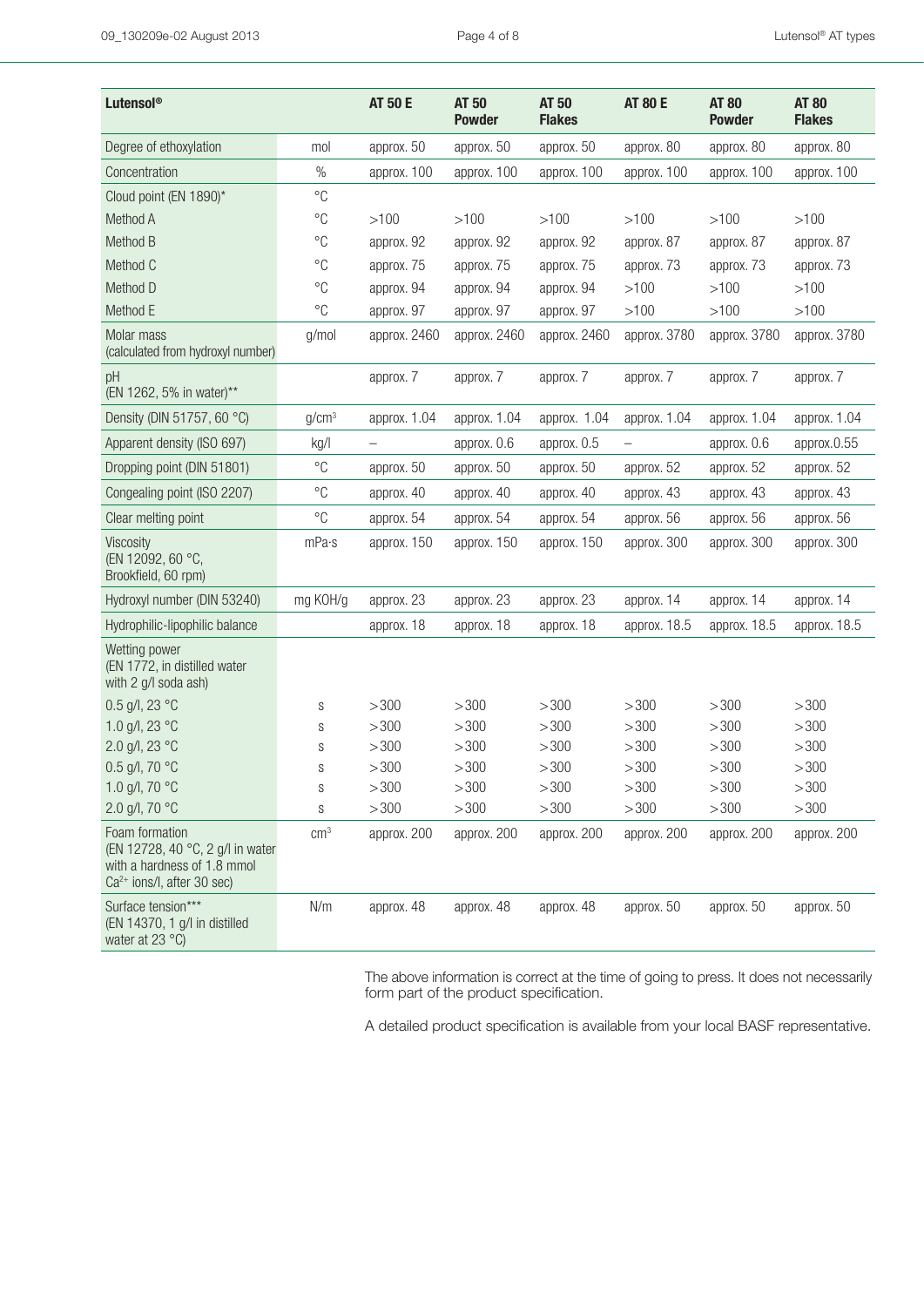| Lutensol®                                                                                                         |                   | <b>AT 50 E</b>    | <b>AT 50</b><br><b>Powder</b> | AT 50<br><b>Flakes</b> | <b>AT 80 E</b> | <b>AT 80</b><br><b>Powder</b> | <b>AT 80</b><br><b>Flakes</b> |
|-------------------------------------------------------------------------------------------------------------------|-------------------|-------------------|-------------------------------|------------------------|----------------|-------------------------------|-------------------------------|
| Degree of ethoxylation                                                                                            | mol               | approx. 50        | approx. 50                    | approx. 50             | approx. 80     | approx. 80                    | approx. 80                    |
| Concentration                                                                                                     | $\%$              | approx. 100       | approx. 100                   | approx. 100            | approx. 100    | approx. 100                   | approx. 100                   |
| Cloud point (EN 1890)*                                                                                            | $^{\circ}C$       |                   |                               |                        |                |                               |                               |
| Method A                                                                                                          | $^{\circ}C$       | >100              | >100                          | >100                   | >100           | >100                          | >100                          |
| Method B                                                                                                          | $^{\circ}C$       | approx. 92        | approx. 92                    | approx. 92             | approx. 87     | approx. 87                    | approx. 87                    |
| Method C                                                                                                          | $^{\circ}C$       | approx. 75        | approx. 75                    | approx. 75             | approx. 73     | approx. 73                    | approx. 73                    |
| Method D                                                                                                          | $^{\circ}C$       | approx. 94        | approx. 94                    | approx. 94             | >100           | >100                          | >100                          |
| Method E                                                                                                          | $^{\circ}C$       | approx. 97        | approx. 97                    | approx. 97             | >100           | >100                          | >100                          |
| Molar mass<br>(calculated from hydroxyl number)                                                                   | g/mol             | approx. 2460      | approx. 2460                  | approx. 2460           | approx. 3780   | approx. 3780                  | approx. 3780                  |
| pH<br>(EN 1262, 5% in water)**                                                                                    |                   | approx. 7         | approx. 7                     | approx. 7              | approx. 7      | approx. 7                     | approx. 7                     |
| Density (DIN 51757, 60 °C)                                                                                        | g/cm <sup>3</sup> | approx. 1.04      | approx. 1.04                  | approx. 1.04           | approx. 1.04   | approx. 1.04                  | approx. 1.04                  |
| Apparent density (ISO 697)                                                                                        | kg/l              | $\qquad \qquad -$ | approx. 0.6                   | approx. 0.5            |                | approx. 0.6                   | approx.0.55                   |
| Dropping point (DIN 51801)                                                                                        | $^{\circ}C$       | approx. 50        | approx. 50                    | approx. 50             | approx. 52     | approx. 52                    | approx. 52                    |
| Congealing point (ISO 2207)                                                                                       | $^{\circ}C$       | approx. 40        | approx. 40                    | approx. 40             | approx. 43     | approx. 43                    | approx. 43                    |
| Clear melting point                                                                                               | $^{\circ}C$       | approx. 54        | approx. 54                    | approx. 54             | approx. 56     | approx. 56                    | approx. 56                    |
| Viscosity<br>(EN 12092, 60 °C,<br>Brookfield, 60 rpm)                                                             | mPa·s             | approx. 150       | approx. 150                   | approx. 150            | approx. 300    | approx. 300                   | approx. 300                   |
| Hydroxyl number (DIN 53240)                                                                                       | mg KOH/g          | approx. 23        | approx. 23                    | approx. 23             | approx. 14     | approx. 14                    | approx. 14                    |
| Hydrophilic-lipophilic balance                                                                                    |                   | approx. 18        | approx. 18                    | approx. 18             | approx. 18.5   | approx. 18.5                  | approx. 18.5                  |
| Wetting power<br>(EN 1772, in distilled water<br>with 2 g/l soda ash)                                             |                   |                   |                               |                        |                |                               |                               |
| 0.5 g/l, 23 $^{\circ}$ C                                                                                          | S                 | >300              | >300                          | >300                   | >300           | >300                          | >300                          |
| 1.0 g/l, 23 °C                                                                                                    | S                 | >300              | >300                          | >300                   | >300           | >300                          | >300                          |
| 2.0 g/l, 23 °C                                                                                                    | S                 | >300              | >300                          | >300                   | >300           | >300                          | >300                          |
| 0.5 g/l, 70 °C                                                                                                    | S                 | >300              | >300                          | >300                   | >300           | >300                          | >300                          |
| 1.0 g/l, 70 °C                                                                                                    | S                 | >300              | >300                          | >300                   | >300           | >300                          | >300                          |
| 2.0 g/l, 70 °C                                                                                                    | S                 | >300              | >300                          | >300                   | >300           | >300                          | >300                          |
| Foam formation<br>(EN 12728, 40 °C, 2 g/l in water<br>with a hardness of 1.8 mmol<br>$Ca2+ ions/l, after 30 sec)$ | cm <sup>3</sup>   | approx. 200       | approx. 200                   | approx. 200            | approx. 200    | approx. 200                   | approx. 200                   |
| Surface tension***<br>(EN 14370, 1 g/l in distilled<br>water at 23 °C)                                            | N/m               | approx. 48        | approx. 48                    | approx. 48             | approx. 50     | approx. 50                    | approx. 50                    |

The above information is correct at the time of going to press. It does not necessarily form part of the product specification.

A detailed product specification is available from your local BASF representative.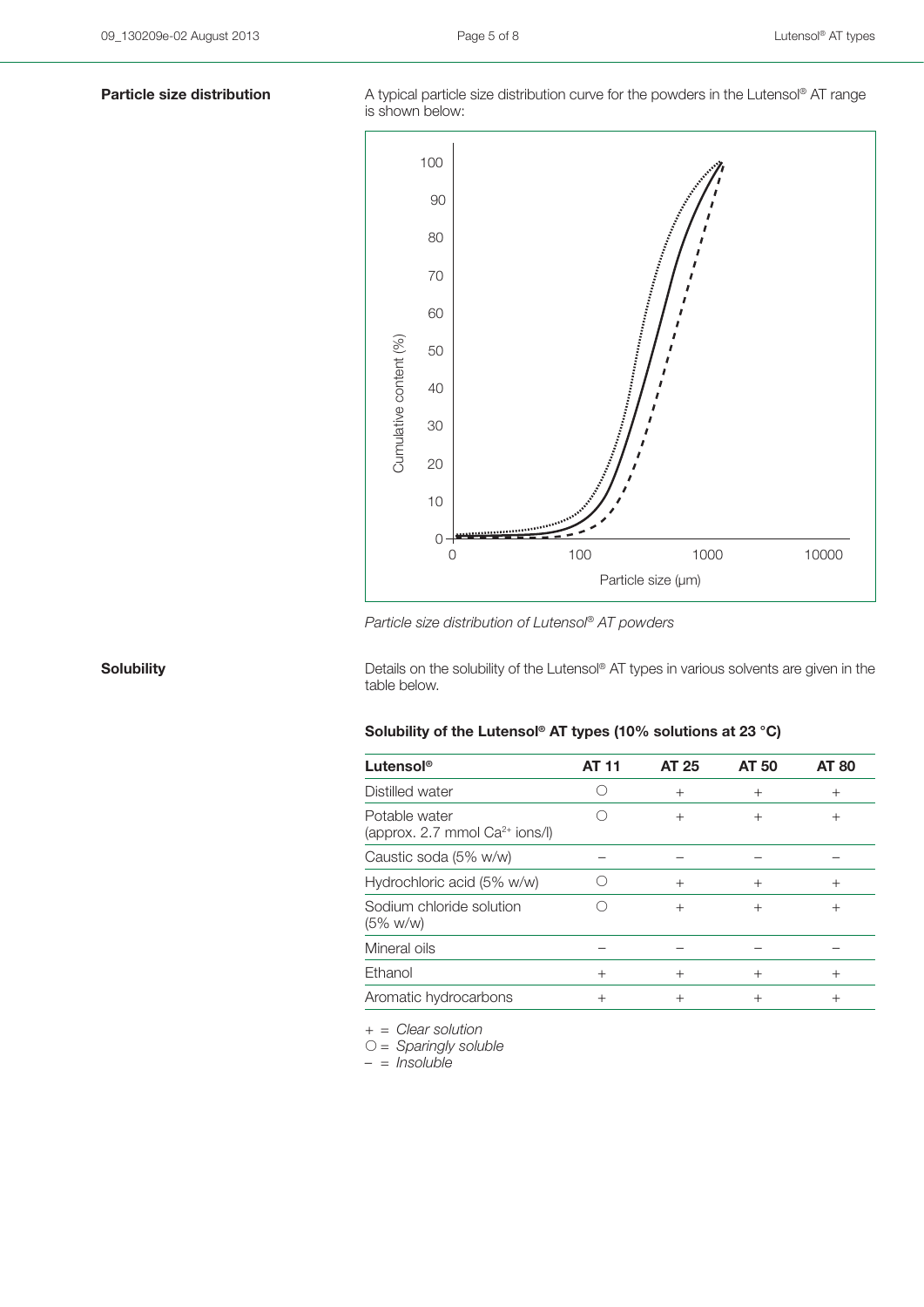**Particle size distribution** A typical particle size distribution curve for the powders in the Lutensol<sup>®</sup> AT range is shown below:



*Particle size distribution of Lutensol® AT powders*

**Solubility Solubility** Details on the solubility of the Lutensol® AT types in various solvents are given in the table below.

## **Solubility of the Lutensol® AT types (10% solutions at 23 °C)**

| Lutensol <sup>®</sup>                                | AT 11  | <b>AT 25</b>   | <b>AT 50</b> | <b>AT 80</b> |
|------------------------------------------------------|--------|----------------|--------------|--------------|
| Distilled water                                      |        | $+$            | $^{+}$       | $^{+}$       |
| Potable water<br>(approx. 2.7 mmol $Ca^{2+}$ ions/I) |        | $+$            | $^{+}$       | $^{+}$       |
| Caustic soda (5% w/w)                                |        |                |              |              |
| Hydrochloric acid (5% w/w)                           |        | $\overline{+}$ | $^{+}$       | $^{+}$       |
| Sodium chloride solution<br>$(5\% \text{ w/w})$      |        | $^{+}$         | $^{+}$       | $^{+}$       |
| Mineral oils                                         |        |                |              |              |
| Ethanol                                              | $^{+}$ | $^{+}$         | $^{+}$       | $^{+}$       |
| Aromatic hydrocarbons                                | $^+$   | $^{+}$         | $^+$         |              |

*+ = Clear solution*

*= Sparingly soluble*

*– = Insoluble*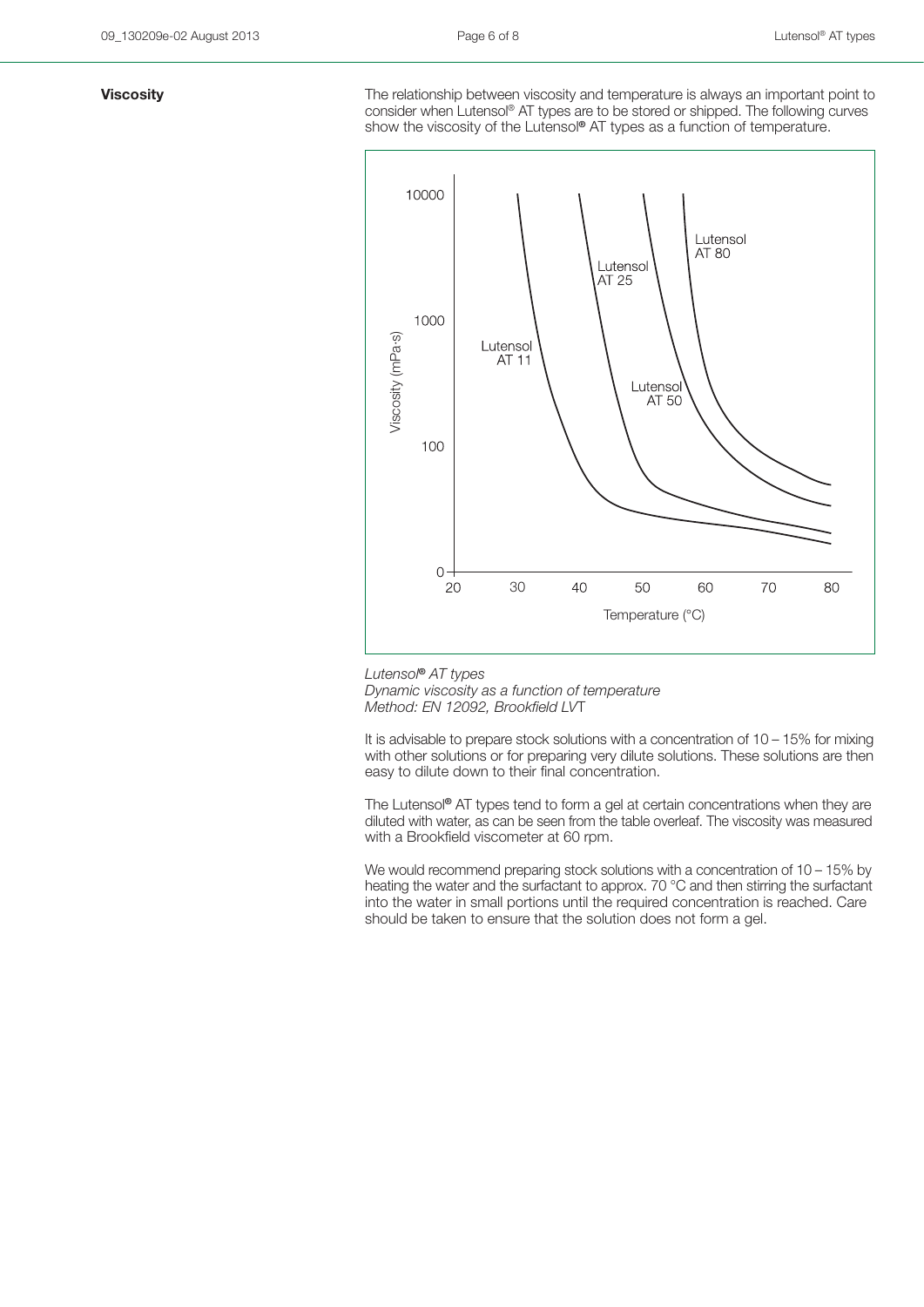**Viscosity Viscosity The relationship between viscosity and temperature is always an important point to** consider when Lutensol® AT types are to be stored or shipped. The following curves show the viscosity of the Lutensol**®** AT types as a function of temperature.



*Lutensol***®** *AT types Dynamic viscosity as a function of temperature Method: EN 12092, Brookfield LV*T

It is advisable to prepare stock solutions with a concentration of  $10 - 15\%$  for mixing with other solutions or for preparing very dilute solutions. These solutions are then easy to dilute down to their final concentration.

The Lutensol**®** AT types tend to form a gel at certain concentrations when they are diluted with water, as can be seen from the table overleaf. The viscosity was measured with a Brookfield viscometer at 60 rpm.

We would recommend preparing stock solutions with a concentration of 10 – 15% by heating the water and the surfactant to approx. 70 °C and then stirring the surfactant into the water in small portions until the required concentration is reached. Care should be taken to ensure that the solution does not form a gel.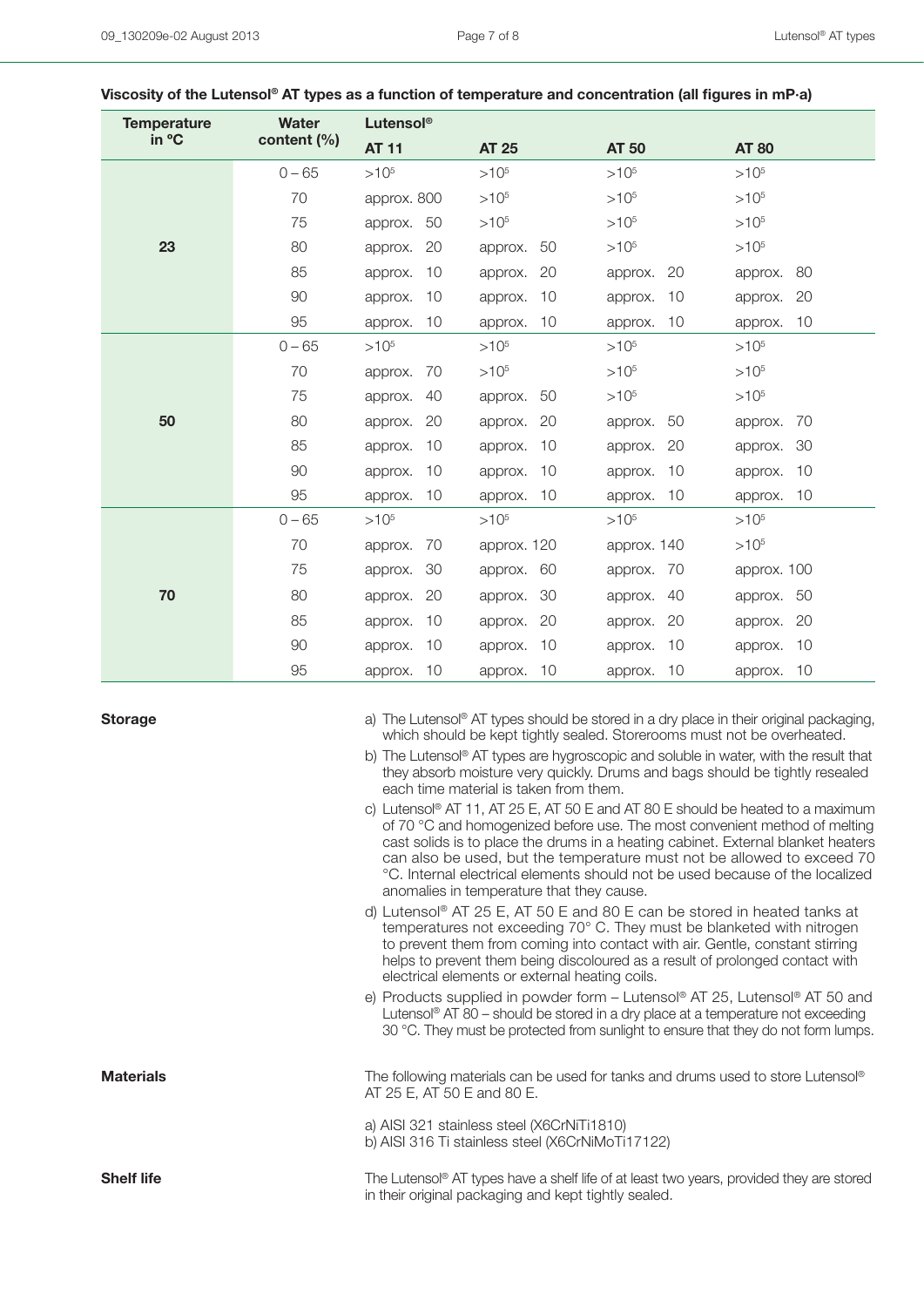| <b>Temperature</b> | <b>Water</b><br>content (%) | Lutensol®     |               |               |               |  |  |
|--------------------|-----------------------------|---------------|---------------|---------------|---------------|--|--|
| in °C              |                             | <b>AT 11</b>  | <b>AT 25</b>  | <b>AT 50</b>  | <b>AT 80</b>  |  |  |
|                    | $0 - 65$                    | $>10^{5}$     | $>10^{5}$     | $>10^{5}$     | $>10^{5}$     |  |  |
|                    | 70                          | approx. 800   | $>10^{5}$     | $>10^{5}$     | $>10^{5}$     |  |  |
|                    | 75                          | approx. 50    | $>10^{5}$     | $>10^{5}$     | $>10^{5}$     |  |  |
| 23                 | 80                          | 20<br>approx. | 50<br>approx. | $>10^{5}$     | $>10^{5}$     |  |  |
|                    | 85                          | 10<br>approx. | 20<br>approx. | 20<br>approx. | 80<br>approx. |  |  |
|                    | 90                          | 10<br>approx. | 10<br>approx. | 10<br>approx. | 20<br>approx. |  |  |
|                    | 95                          | 10<br>approx. | 10<br>approx. | 10<br>approx. | 10<br>approx. |  |  |
|                    | $0 - 65$                    | $>10^{5}$     | $>10^{5}$     | $>10^{5}$     | $>10^{5}$     |  |  |
| 50                 | 70                          | 70<br>approx. | $>10^{5}$     | $>10^{5}$     | $>10^{5}$     |  |  |
|                    | 75                          | 40<br>approx. | 50<br>approx. | $>10^{5}$     | $>10^{5}$     |  |  |
|                    | 80                          | approx.<br>20 | 20<br>approx. | 50<br>approx. | 70<br>approx. |  |  |
|                    | 85                          | 10<br>approx. | 10<br>approx. | 20<br>approx. | 30<br>approx. |  |  |
|                    | 90                          | 10<br>approx. | 10<br>approx. | 10<br>approx. | 10<br>approx. |  |  |
|                    | 95                          | 10<br>approx. | 10<br>approx. | 10<br>approx. | approx. 10    |  |  |
|                    | $0 - 65$                    | $>10^{5}$     | $>10^{5}$     | $>10^{5}$     | $>10^{5}$     |  |  |
|                    | 70                          | 70<br>approx. | approx. 120   | approx. 140   | $>10^{5}$     |  |  |
| 70                 | 75                          | 30<br>approx. | 60<br>approx. | 70<br>approx. | approx. 100   |  |  |
|                    | 80                          | 20<br>approx. | 30<br>approx. | 40<br>approx. | approx. 50    |  |  |
|                    | 85                          | 10<br>approx. | 20<br>approx. | 20<br>approx. | 20<br>approx. |  |  |
|                    | 90                          | 10<br>approx. | 10<br>approx. | 10<br>approx. | 10<br>approx. |  |  |
|                    | 95                          | 10<br>approx. | 10<br>approx. | 10<br>approx. | 10<br>approx. |  |  |

### **Viscosity of the Lutensol® AT types as a function of temperature and concentration (all figures in mP·a)**

**Storage** a) The Lutensol<sup>®</sup> AT types should be stored in a dry place in their original packaging, which should be kept tightly sealed. Storerooms must not be overheated.

> b) The Lutensol® AT types are hygroscopic and soluble in water, with the result that they absorb moisture very quickly. Drums and bags should be tightly resealed each time material is taken from them.

> c) Lutensol® AT 11, AT 25 E, AT 50 E and AT 80 E should be heated to a maximum of 70 °C and homogenized before use. The most convenient method of melting cast solids is to place the drums in a heating cabinet. External blanket heaters can also be used, but the temperature must not be allowed to exceed 70 °C. Internal electrical elements should not be used because of the localized anomalies in temperature that they cause.

d) Lutensol® AT 25 E, AT 50 E and 80 E can be stored in heated tanks at temperatures not exceeding 70° C. They must be blanketed with nitrogen to prevent them from coming into contact with air. Gentle, constant stirring helps to prevent them being discoloured as a result of prolonged contact with electrical elements or external heating coils.

e) Products supplied in powder form – Lutensol® AT 25, Lutensol® AT 50 and Lutensol<sup>®</sup> AT 80 – should be stored in a dry place at a temperature not exceeding 30 °C. They must be protected from sunlight to ensure that they do not form lumps.

**Materials** The following materials can be used for tanks and drums used to store Lutensol® AT 25 E, AT 50 E and 80 E.

> a) AISI 321 stainless steel (X6CrNiTi1810) b) AISI 316 Ti stainless steel (X6CrNiMoTi17122)

**Shelf life** The Lutensol® AT types have a shelf life of at least two years, provided they are stored in their original packaging and kept tightly sealed.